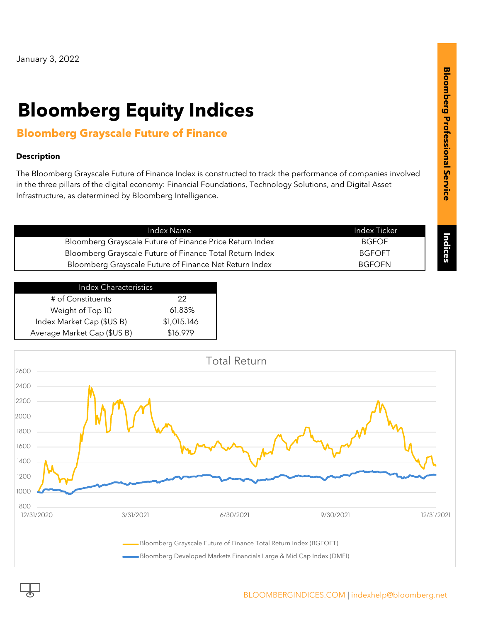# **Bloomberg Equity Indices**

## **Bloomberg Grayscale Future of Finance**

#### **Description**

The Bloomberg Grayscale Future of Finance Index is constructed to track the performance of companies involved in the three pillars of the digital economy: Financial Foundations, Technology Solutions, and Digital Asset Infrastructure, as determined by Bloomberg Intelligence.

| Index Name                                               | Index Ticker  |
|----------------------------------------------------------|---------------|
| Bloomberg Grayscale Future of Finance Price Return Index | <b>BGFOF</b>  |
| Bloomberg Grayscale Future of Finance Total Return Index | <b>BGFOFT</b> |
| Bloomberg Grayscale Future of Finance Net Return Index   | <b>BGFOFN</b> |

| <b>Index Characteristics</b> |             |
|------------------------------|-------------|
| # of Constituents            | クク          |
| Weight of Top 10             | 61.83%      |
| Index Market Cap (\$US B)    | \$1,015.146 |
| Average Market Cap (\$US B)  | \$16.979    |
|                              |             |

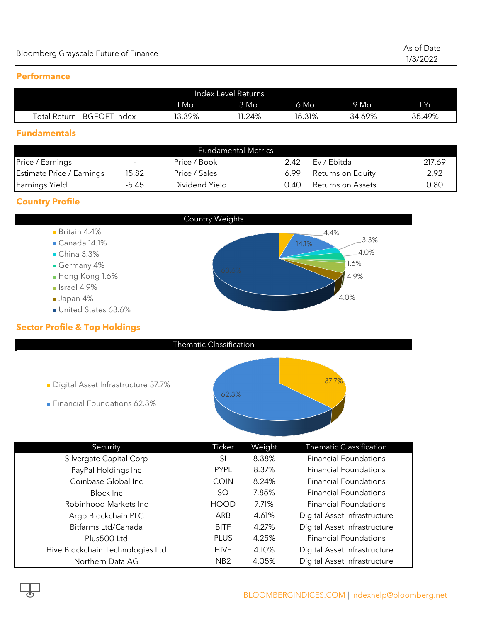#### **Performance**

| Index Level Returns         |        |            |           |        |        |
|-----------------------------|--------|------------|-----------|--------|--------|
|                             | 1 Mo   | $3$ Mo     | 6 Mo      | Mo     | 1 Yr   |
| Total Return - BGFOFT Index | 13.39% | $-11.24\%$ | $-15.31%$ | 34.69% | 35.49% |

#### **Fundamentals**

| <b>Fundamental Metrics</b> |       |                |      |                   |        |
|----------------------------|-------|----------------|------|-------------------|--------|
| Price / Earnings           |       | Price / Book   | 2.42 | Ev / Ebitda       | 217.69 |
| Estimate Price / Earnings  | 15.82 | Price / Sales  | 6.99 | Returns on Equity | 2.92   |
| Earnings Yield             | -5.45 | Dividend Yield | 0.40 | Returns on Assets | 0.80   |

### **Country Profile**



| Security                         | Ticker          | Weight | <b>Thematic Classification</b> |
|----------------------------------|-----------------|--------|--------------------------------|
| Silvergate Capital Corp          | SI              | 8.38%  | <b>Financial Foundations</b>   |
| PayPal Holdings Inc              | <b>PYPL</b>     | 8.37%  | <b>Financial Foundations</b>   |
| Coinbase Global Inc              | <b>COIN</b>     | 8.24%  | <b>Financial Foundations</b>   |
| Block Inc.                       | SQ              | 7.85%  | <b>Financial Foundations</b>   |
| Robinhood Markets Inc.           | <b>HOOD</b>     | 7.71%  | <b>Financial Foundations</b>   |
| Argo Blockchain PLC              | ARB             | 4.61%  | Digital Asset Infrastructure   |
| Bitfarms Ltd/Canada              | <b>BITF</b>     | 4.27%  | Digital Asset Infrastructure   |
| Plus500 Ltd                      | <b>PLUS</b>     | 4.25%  | <b>Financial Foundations</b>   |
| Hive Blockchain Technologies Ltd | <b>HIVE</b>     | 4.10%  | Digital Asset Infrastructure   |
| Northern Data AG                 | NB <sub>2</sub> | 4.05%  | Digital Asset Infrastructure   |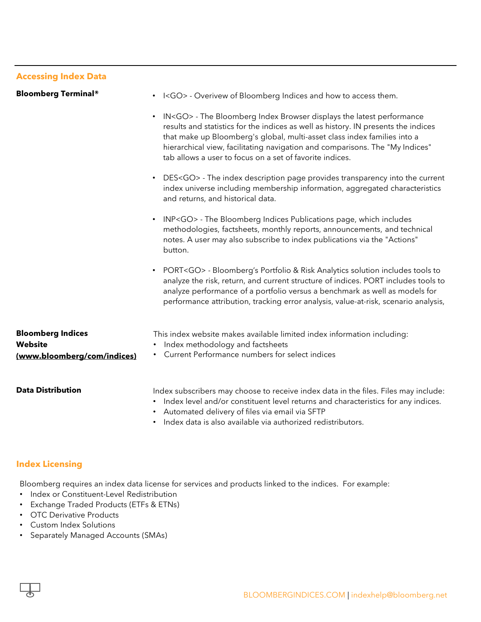|                                                                           | IN <go> - The Bloomberg Index Browser displays the latest performance<br/>results and statistics for the indices as well as history. IN presents the indices<br/>that make up Bloomberg's global, multi-asset class index families into a<br/>hierarchical view, facilitating navigation and comparisons. The "My Indices"<br/>tab allows a user to focus on a set of favorite indices.</go>    |
|---------------------------------------------------------------------------|-------------------------------------------------------------------------------------------------------------------------------------------------------------------------------------------------------------------------------------------------------------------------------------------------------------------------------------------------------------------------------------------------|
|                                                                           | DES <go> - The index description page provides transparency into the current<br/>index universe including membership information, aggregated characteristics<br/>and returns, and historical data.</go>                                                                                                                                                                                         |
|                                                                           | INP <go> - The Bloomberg Indices Publications page, which includes<br/>methodologies, factsheets, monthly reports, announcements, and technical<br/>notes. A user may also subscribe to index publications via the "Actions"<br/>button.</go>                                                                                                                                                   |
|                                                                           | PORT <go> - Bloomberg's Portfolio &amp; Risk Analytics solution includes tools to<br/><math display="inline">\bullet</math><br/>analyze the risk, return, and current structure of indices. PORT includes tools to<br/>analyze performance of a portfolio versus a benchmark as well as models for<br/>performance attribution, tracking error analysis, value-at-risk, scenario analysis,</go> |
| <b>Bloomberg Indices</b><br><b>Website</b><br>(www.bloomberg/com/indices) | This index website makes available limited index information including:<br>Index methodology and factsheets<br>Current Performance numbers for select indices                                                                                                                                                                                                                                   |
| <b>Data Distribution</b>                                                  | Index subscribers may choose to receive index data in the files. Files may include:<br>Index level and/or constituent level returns and characteristics for any indices.<br>Automated delivery of files via email via SFTP<br>Index data is also available via authorized redistributors.                                                                                                       |

• I<GO> - Overivew of Bloomberg Indices and how to access them.

#### **Index Licensing**

**Bloomberg Terminal®**

**Accessing Index Data**

Bloomberg requires an index data license for services and products linked to the indices. For example:

- Index or Constituent-Level Redistribution
- Exchange Traded Products (ETFs & ETNs)
- OTC Derivative Products
- Custom Index Solutions
- Separately Managed Accounts (SMAs)